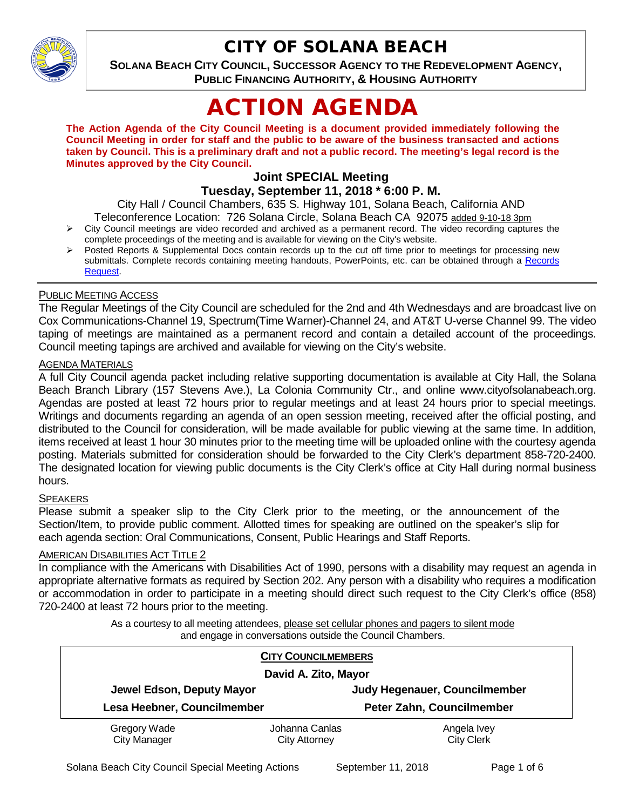

## CITY OF SOLANA BEACH

**SOLANA BEACH CITY COUNCIL, SUCCESSOR AGENCY TO THE REDEVELOPMENT AGENCY, PUBLIC FINANCING AUTHORITY, & HOUSING AUTHORITY** 

# ACTION AGENDA

**The Action Agenda of the City Council Meeting is a document provided immediately following the Council Meeting in order for staff and the public to be aware of the business transacted and actions taken by Council. This is a preliminary draft and not a public record. The meeting's legal record is the Minutes approved by the City Council.**

## **Joint SPECIAL Meeting**

**Tuesday, September 11, 2018 \* 6:00 P. M.**

City Hall / Council Chambers, 635 S. Highway 101, Solana Beach, California AND

- Teleconference Location: 726 Solana Circle, Solana Beach CA 92075 added 9-10-18 3pm  $\triangleright$  City Council meetings are video recorded and archived as a permanent record. The video recording captures the complete proceedings of the meeting and is available for viewing on the City's website.
- Posted Reports & Supplemental Docs contain records up to the cut off time prior to meetings for processing new submittals. Complete records containing meeting handouts, PowerPoints, etc. can be obtained through a [Records](http://www.ci.solana-beach.ca.us/index.asp?SEC=F5D45D10-70CE-4291-A27C-7BD633FC6742&Type=B_BASIC)  [Request.](http://www.ci.solana-beach.ca.us/index.asp?SEC=F5D45D10-70CE-4291-A27C-7BD633FC6742&Type=B_BASIC)

#### PUBLIC MEETING ACCESS

The Regular Meetings of the City Council are scheduled for the 2nd and 4th Wednesdays and are broadcast live on Cox Communications-Channel 19, Spectrum(Time Warner)-Channel 24, and AT&T U-verse Channel 99. The video taping of meetings are maintained as a permanent record and contain a detailed account of the proceedings. Council meeting tapings are archived and available for viewing on the City's website.

#### AGENDA MATERIALS

A full City Council agenda packet including relative supporting documentation is available at City Hall, the Solana Beach Branch Library (157 Stevens Ave.), La Colonia Community Ctr., and online www.cityofsolanabeach.org. Agendas are posted at least 72 hours prior to regular meetings and at least 24 hours prior to special meetings. Writings and documents regarding an agenda of an open session meeting, received after the official posting, and distributed to the Council for consideration, will be made available for public viewing at the same time. In addition, items received at least 1 hour 30 minutes prior to the meeting time will be uploaded online with the courtesy agenda posting. Materials submitted for consideration should be forwarded to the City Clerk's department 858-720-2400. The designated location for viewing public documents is the City Clerk's office at City Hall during normal business hours.

#### **SPEAKERS**

Please submit a speaker slip to the City Clerk prior to the meeting, or the announcement of the Section/Item, to provide public comment. Allotted times for speaking are outlined on the speaker's slip for each agenda section: Oral Communications, Consent, Public Hearings and Staff Reports.

#### AMERICAN DISABILITIES ACT TITLE 2

In compliance with the Americans with Disabilities Act of 1990, persons with a disability may request an agenda in appropriate alternative formats as required by Section 202. Any person with a disability who requires a modification or accommodation in order to participate in a meeting should direct such request to the City Clerk's office (858) 720-2400 at least 72 hours prior to the meeting.

> As a courtesy to all meeting attendees, please set cellular phones and pagers to silent mode and engage in conversations outside the Council Chambers.

| <b>CITY COUNCILMEMBERS</b><br>David A. Zito, Mayor |                |                           |
|----------------------------------------------------|----------------|---------------------------|
|                                                    |                |                           |
| Lesa Heebner, Councilmember                        |                | Peter Zahn, Councilmember |
| Gregory Wade                                       | Johanna Canlas | Angela Ivey               |
| <b>City Manager</b>                                | City Attorney  | <b>City Clerk</b>         |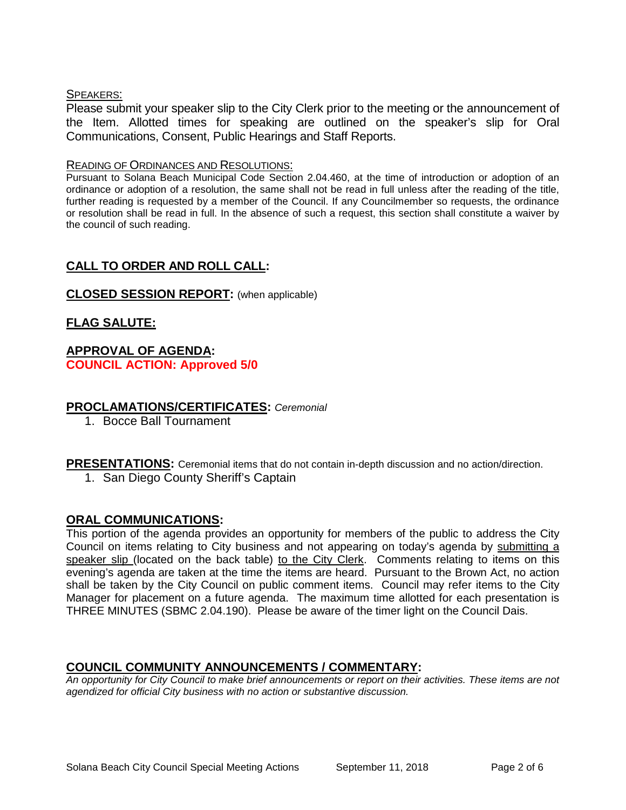#### SPEAKERS:

Please submit your speaker slip to the City Clerk prior to the meeting or the announcement of the Item. Allotted times for speaking are outlined on the speaker's slip for Oral Communications, Consent, Public Hearings and Staff Reports.

#### READING OF ORDINANCES AND RESOLUTIONS:

Pursuant to Solana Beach Municipal Code Section 2.04.460, at the time of introduction or adoption of an ordinance or adoption of a resolution, the same shall not be read in full unless after the reading of the title, further reading is requested by a member of the Council. If any Councilmember so requests, the ordinance or resolution shall be read in full. In the absence of such a request, this section shall constitute a waiver by the council of such reading.

## **CALL TO ORDER AND ROLL CALL:**

#### **CLOSED SESSION REPORT:** (when applicable)

#### **FLAG SALUTE:**

#### **APPROVAL OF AGENDA: COUNCIL ACTION: Approved 5/0**

#### **PROCLAMATIONS/CERTIFICATES:** *Ceremonial*

1. Bocce Ball Tournament

**PRESENTATIONS:** Ceremonial items that do not contain in-depth discussion and no action/direction.

1. San Diego County Sheriff's Captain

#### **ORAL COMMUNICATIONS:**

This portion of the agenda provides an opportunity for members of the public to address the City Council on items relating to City business and not appearing on today's agenda by submitting a speaker slip (located on the back table) to the City Clerk. Comments relating to items on this evening's agenda are taken at the time the items are heard. Pursuant to the Brown Act, no action shall be taken by the City Council on public comment items. Council may refer items to the City Manager for placement on a future agenda. The maximum time allotted for each presentation is THREE MINUTES (SBMC 2.04.190). Please be aware of the timer light on the Council Dais.

#### **COUNCIL COMMUNITY ANNOUNCEMENTS / COMMENTARY:**

*An opportunity for City Council to make brief announcements or report on their activities. These items are not agendized for official City business with no action or substantive discussion.*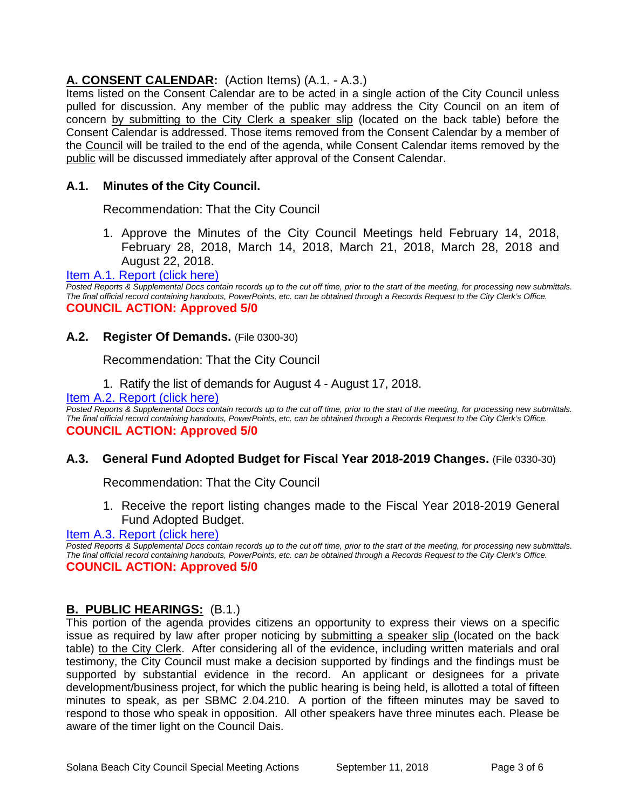## **A. CONSENT CALENDAR:** (Action Items) (A.1. - A.3.)

Items listed on the Consent Calendar are to be acted in a single action of the City Council unless pulled for discussion. Any member of the public may address the City Council on an item of concern by submitting to the City Clerk a speaker slip (located on the back table) before the Consent Calendar is addressed. Those items removed from the Consent Calendar by a member of the Council will be trailed to the end of the agenda, while Consent Calendar items removed by the public will be discussed immediately after approval of the Consent Calendar.

#### **A.1. Minutes of the City Council.**

Recommendation: That the City Council

1. Approve the Minutes of the City Council Meetings held February 14, 2018, February 28, 2018, March 14, 2018, March 21, 2018, March 28, 2018 and August 22, 2018.

#### [Item A.1. Report \(click here\)](https://solanabeach.govoffice3.com/vertical/Sites/%7B840804C2-F869-4904-9AE3-720581350CE7%7D/uploads/Item_A.1._Report__(click_here)_-_09-11-18.PDF)

*Posted Reports & Supplemental Docs contain records up to the cut off time, prior to the start of the meeting, for processing new submittals. The final official record containing handouts, PowerPoints, etc. can be obtained through a Records Request to the City Clerk's Office.* **COUNCIL ACTION: Approved 5/0**

#### **A.2. Register Of Demands.** (File 0300-30)

Recommendation: That the City Council

1. Ratify the list of demands for August 4 - August 17, 2018.

#### [Item A.2. Report \(click here\)](https://solanabeach.govoffice3.com/vertical/Sites/%7B840804C2-F869-4904-9AE3-720581350CE7%7D/uploads/Item_A.2._Report_(click_here)_-_09-11-18.PDF)

Posted Reports & Supplemental Docs contain records up to the cut off time, prior to the start of the meeting, for processing new submittals. *The final official record containing handouts, PowerPoints, etc. can be obtained through a Records Request to the City Clerk's Office.* **COUNCIL ACTION: Approved 5/0**

#### **A.3. General Fund Adopted Budget for Fiscal Year 2018-2019 Changes.** (File 0330-30)

Recommendation: That the City Council

1. Receive the report listing changes made to the Fiscal Year 2018-2019 General Fund Adopted Budget.

[Item A.3. Report \(click here\)](https://solanabeach.govoffice3.com/vertical/Sites/%7B840804C2-F869-4904-9AE3-720581350CE7%7D/uploads/Item_A.3._Report_(click_here)_-_09-11-18.PDF)

*Posted Reports & Supplemental Docs contain records up to the cut off time, prior to the start of the meeting, for processing new submittals. The final official record containing handouts, PowerPoints, etc. can be obtained through a Records Request to the City Clerk's Office.* **COUNCIL ACTION: Approved 5/0**

#### **B. PUBLIC HEARINGS:** (B.1.)

This portion of the agenda provides citizens an opportunity to express their views on a specific issue as required by law after proper noticing by submitting a speaker slip (located on the back table) to the City Clerk. After considering all of the evidence, including written materials and oral testimony, the City Council must make a decision supported by findings and the findings must be supported by substantial evidence in the record. An applicant or designees for a private development/business project, for which the public hearing is being held, is allotted a total of fifteen minutes to speak, as per SBMC 2.04.210. A portion of the fifteen minutes may be saved to respond to those who speak in opposition. All other speakers have three minutes each. Please be aware of the timer light on the Council Dais.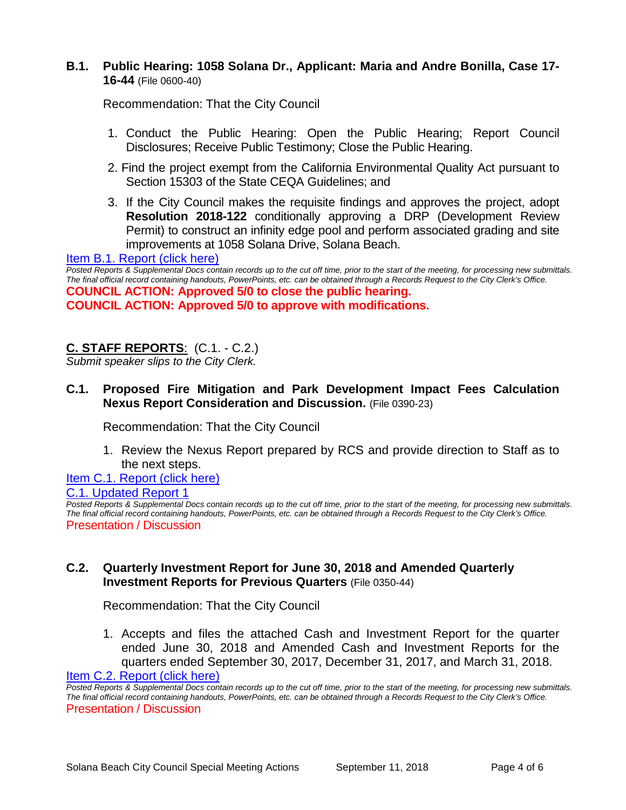### **B.1. Public Hearing: 1058 Solana Dr., Applicant: Maria and Andre Bonilla, Case 17- 16-44** (File 0600-40)

Recommendation: That the City Council

- 1. Conduct the Public Hearing: Open the Public Hearing; Report Council Disclosures; Receive Public Testimony; Close the Public Hearing.
- 2. Find the project exempt from the California Environmental Quality Act pursuant to Section 15303 of the State CEQA Guidelines; and
- 3. If the City Council makes the requisite findings and approves the project, adopt **Resolution 2018-122** conditionally approving a DRP (Development Review Permit) to construct an infinity edge pool and perform associated grading and site improvements at 1058 Solana Drive, Solana Beach.

[Item B.1. Report \(click here\)](https://solanabeach.govoffice3.com/vertical/Sites/%7B840804C2-F869-4904-9AE3-720581350CE7%7D/uploads/Item_B.1._Reportt_(click_here)_-_09-11-18.PDF)

*Posted Reports & Supplemental Docs contain records up to the cut off time, prior to the start of the meeting, for processing new submittals. The final official record containing handouts, PowerPoints, etc. can be obtained through a Records Request to the City Clerk's Office.*

**COUNCIL ACTION: Approved 5/0 to close the public hearing. COUNCIL ACTION: Approved 5/0 to approve with modifications.** 

## **C. STAFF REPORTS**: (C.1. - C.2.)

*Submit speaker slips to the City Clerk.*

#### **C.1. Proposed Fire Mitigation and Park Development Impact Fees Calculation Nexus Report Consideration and Discussion.** (File 0390-23)

Recommendation: That the City Council

1. Review the Nexus Report prepared by RCS and provide direction to Staff as to the next steps.

Item C.1. [Report \(click here\)](https://solanabeach.govoffice3.com/vertical/Sites/%7B840804C2-F869-4904-9AE3-720581350CE7%7D/uploads/Item_C.1._Report_(click_here)_-_09-11-18.PDF)

[C.1. Updated Report 1](https://solanabeach.govoffice3.com/vertical/Sites/%7B840804C2-F869-4904-9AE3-720581350CE7%7D/uploads/Item_C.1._Updated_Report_1.pdf)

*Posted Reports & Supplemental Docs contain records up to the cut off time, prior to the start of the meeting, for processing new submittals. The final official record containing handouts, PowerPoints, etc. can be obtained through a Records Request to the City Clerk's Office.* Presentation / Discussion

#### **C.2. Quarterly Investment Report for June 30, 2018 and Amended Quarterly Investment Reports for Previous Quarters** (File 0350-44)

Recommendation: That the City Council

1. Accepts and files the attached Cash and Investment Report for the quarter ended June 30, 2018 and Amended Cash and Investment Reports for the quarters ended September 30, 2017, December 31, 2017, and March 31, 2018.

[Item C.2. Report \(click here\)](https://solanabeach.govoffice3.com/vertical/Sites/%7B840804C2-F869-4904-9AE3-720581350CE7%7D/uploads/Item_C.2._Report_(click_here)_-_09-11-18.PDF)

*Posted Reports & Supplemental Docs contain records up to the cut off time, prior to the start of the meeting, for processing new submittals. The final official record containing handouts, PowerPoints, etc. can be obtained through a Records Request to the City Clerk's Office.* Presentation / Discussion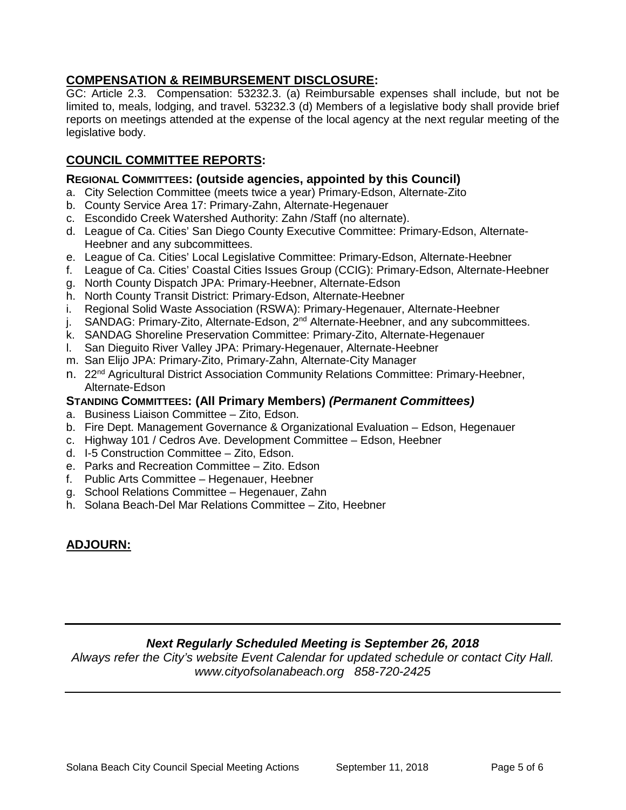## **COMPENSATION & REIMBURSEMENT DISCLOSURE:**

GC: Article 2.3. Compensation: 53232.3. (a) Reimbursable expenses shall include, but not be limited to, meals, lodging, and travel. 53232.3 (d) Members of a legislative body shall provide brief reports on meetings attended at the expense of the local agency at the next regular meeting of the legislative body.

## **COUNCIL COMMITTEE REPORTS:**

#### **REGIONAL COMMITTEES: (outside agencies, appointed by this Council)**

- a. City Selection Committee (meets twice a year) Primary-Edson, Alternate-Zito
- b. County Service Area 17: Primary-Zahn, Alternate-Hegenauer
- c. Escondido Creek Watershed Authority: Zahn /Staff (no alternate).
- d. League of Ca. Cities' San Diego County Executive Committee: Primary-Edson, Alternate-Heebner and any subcommittees.
- e. League of Ca. Cities' Local Legislative Committee: Primary-Edson, Alternate-Heebner
- f. League of Ca. Cities' Coastal Cities Issues Group (CCIG): Primary-Edson, Alternate-Heebner
- g. North County Dispatch JPA: Primary-Heebner, Alternate-Edson
- h. North County Transit District: Primary-Edson, Alternate-Heebner
- i. Regional Solid Waste Association (RSWA): Primary-Hegenauer, Alternate-Heebner
- j. SANDAG: Primary-Zito, Alternate-Edson, 2<sup>nd</sup> Alternate-Heebner, and any subcommittees.
- k. SANDAG Shoreline Preservation Committee: Primary-Zito, Alternate-Hegenauer
- l. San Dieguito River Valley JPA: Primary-Hegenauer, Alternate-Heebner
- m. San Elijo JPA: Primary-Zito, Primary-Zahn, Alternate-City Manager
- n. 22<sup>nd</sup> Agricultural District Association Community Relations Committee: Primary-Heebner, Alternate-Edson

## **STANDING COMMITTEES: (All Primary Members)** *(Permanent Committees)*

- a. Business Liaison Committee Zito, Edson.
- b. Fire Dept. Management Governance & Organizational Evaluation Edson, Hegenauer
- c. Highway 101 / Cedros Ave. Development Committee Edson, Heebner
- d. I-5 Construction Committee Zito, Edson.
- e. Parks and Recreation Committee Zito. Edson
- f. Public Arts Committee Hegenauer, Heebner
- g. School Relations Committee Hegenauer, Zahn
- h. Solana Beach-Del Mar Relations Committee Zito, Heebner

## **ADJOURN:**

## *Next Regularly Scheduled Meeting is September 26, 2018*

*Always refer the City's website Event Calendar for updated schedule or contact City Hall. www.cityofsolanabeach.org 858-720-2425*